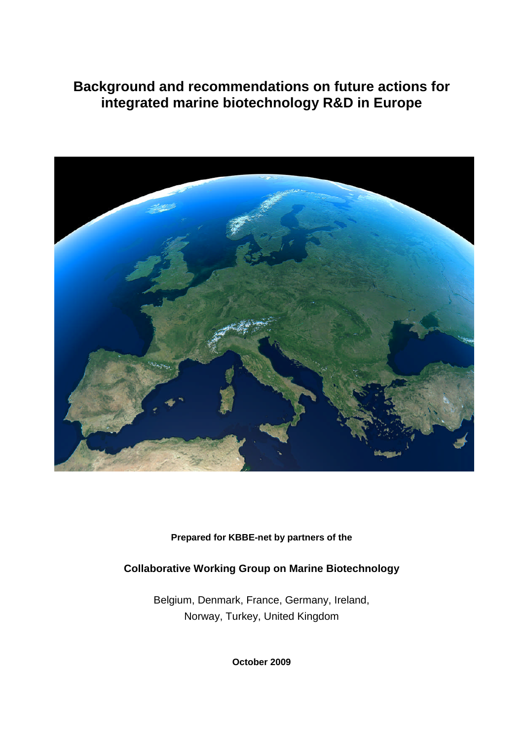# **Background and recommendations on future actions for integrated marine biotechnology R&D in Europe**



**Prepared for KBBE-net by partners of the**

## **Collaborative Working Group on Marine Biotechnology**

Belgium, Denmark, France, Germany, Ireland, Norway, Turkey, United Kingdom

**October 2009**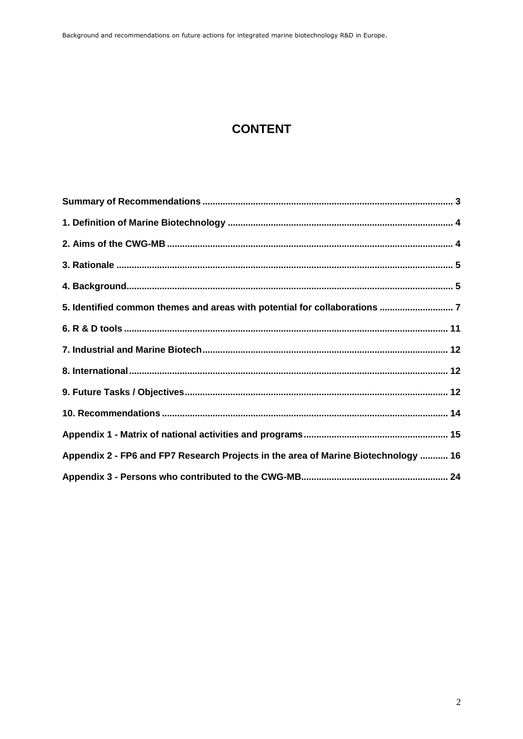# **CONTENT**

| 5. Identified common themes and areas with potential for collaborations  7         |  |
|------------------------------------------------------------------------------------|--|
|                                                                                    |  |
|                                                                                    |  |
|                                                                                    |  |
|                                                                                    |  |
|                                                                                    |  |
|                                                                                    |  |
| Appendix 2 - FP6 and FP7 Research Projects in the area of Marine Biotechnology  16 |  |
|                                                                                    |  |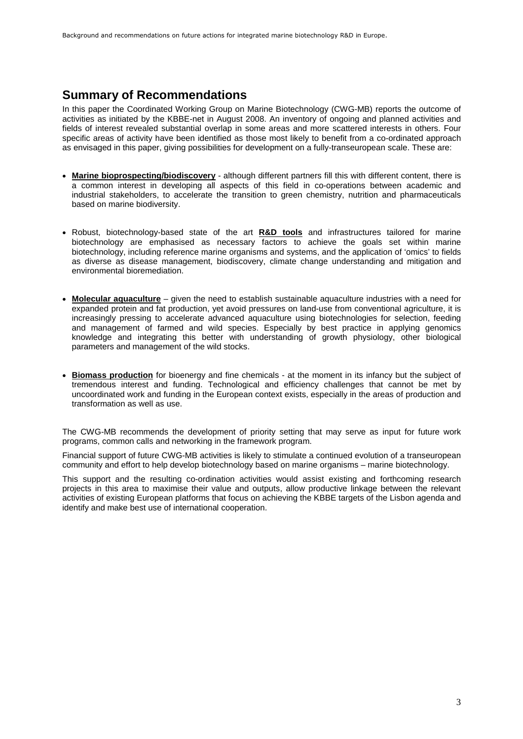## <span id="page-2-0"></span>**Summary of Recommendations**

In this paper the Coordinated Working Group on Marine Biotechnology (CWG-MB) reports the outcome of activities as initiated by the KBBE-net in August 2008. An inventory of ongoing and planned activities and fields of interest revealed substantial overlap in some areas and more scattered interests in others. Four specific areas of activity have been identified as those most likely to benefit from a co-ordinated approach as envisaged in this paper, giving possibilities for development on a fully-transeuropean scale. These are:

- **Marine bioprospecting/biodiscovery** although different partners fill this with different content, there is a common interest in developing all aspects of this field in co-operations between academic and industrial stakeholders, to accelerate the transition to green chemistry, nutrition and pharmaceuticals based on marine biodiversity.
- Robust, biotechnology-based state of the art **R&D tools** and infrastructures tailored for marine biotechnology are emphasised as necessary factors to achieve the goals set within marine biotechnology, including reference marine organisms and systems, and the application of 'omics' to fields as diverse as disease management, biodiscovery, climate change understanding and mitigation and environmental bioremediation.
- **Molecular aquaculture** given the need to establish sustainable aquaculture industries with a need for expanded protein and fat production, yet avoid pressures on land-use from conventional agriculture, it is increasingly pressing to accelerate advanced aquaculture using biotechnologies for selection, feeding and management of farmed and wild species. Especially by best practice in applying genomics knowledge and integrating this better with understanding of growth physiology, other biological parameters and management of the wild stocks.
- **Biomass production** for bioenergy and fine chemicals at the moment in its infancy but the subject of tremendous interest and funding. Technological and efficiency challenges that cannot be met by uncoordinated work and funding in the European context exists, especially in the areas of production and transformation as well as use.

The CWG-MB recommends the development of priority setting that may serve as input for future work programs, common calls and networking in the framework program.

Financial support of future CWG-MB activities is likely to stimulate a continued evolution of a transeuropean community and effort to help develop biotechnology based on marine organisms – marine biotechnology.

This support and the resulting co-ordination activities would assist existing and forthcoming research projects in this area to maximise their value and outputs, allow productive linkage between the relevant activities of existing European platforms that focus on achieving the KBBE targets of the Lisbon agenda and identify and make best use of international cooperation.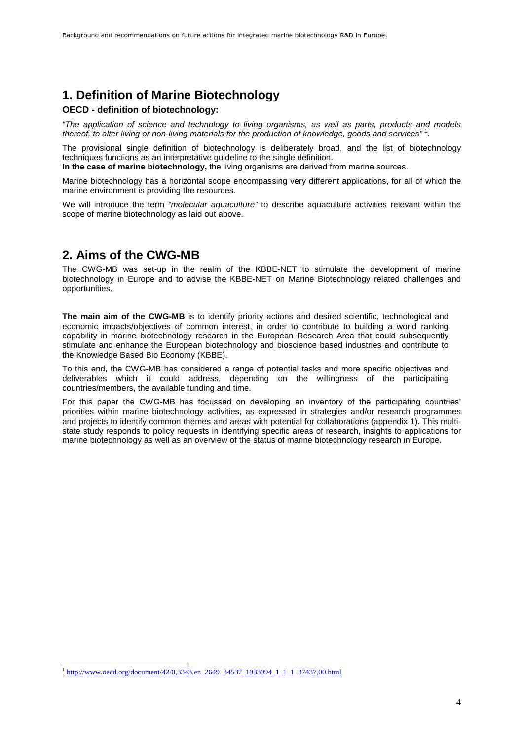## <span id="page-3-0"></span>**1. Definition of Marine Biotechnology**

### **OECD - definition of biotechnology:**

*"The application of science and technology to living organisms, as well as parts, products and models thereof, to alter living or non-living materials for the production of knowledge, goods and services"* [1](#page-3-2) .

The provisional single definition of biotechnology is deliberately broad, and the list of biotechnology techniques functions as an interpretative guideline to the single definition.

**In the case of marine biotechnology,** the living organisms are derived from marine sources.

Marine biotechnology has a horizontal scope encompassing very different applications, for all of which the marine environment is providing the resources.

We will introduce the term *"molecular aquaculture"* to describe aquaculture activities relevant within the scope of marine biotechnology as laid out above.

## <span id="page-3-1"></span>**2. Aims of the CWG-MB**

The CWG-MB was set-up in the realm of the KBBE-NET to stimulate the development of marine biotechnology in Europe and to advise the KBBE-NET on Marine Biotechnology related challenges and opportunities.

**The main aim of the CWG-MB** is to identify priority actions and desired scientific, technological and economic impacts/objectives of common interest, in order to contribute to building a world ranking capability in marine biotechnology research in the European Research Area that could subsequently stimulate and enhance the European biotechnology and bioscience based industries and contribute to the Knowledge Based Bio Economy (KBBE).

To this end, the CWG-MB has considered a range of potential tasks and more specific objectives and deliverables which it could address, depending on the willingness of the participating countries/members, the available funding and time.

For this paper the CWG-MB has focussed on developing an inventory of the participating countries' priorities within marine biotechnology activities, as expressed in strategies and/or research programmes and projects to identify common themes and areas with potential for collaborations (appendix 1). This multistate study responds to policy requests in identifying specific areas of research, insights to applications for marine biotechnology as well as an overview of the status of marine biotechnology research in Europe.

<span id="page-3-2"></span><sup>&</sup>lt;sup>1</sup> http://www.oecd.org/document/42/0,3343,en\_2649\_34537\_1933994\_1\_1\_1\_37437,00.html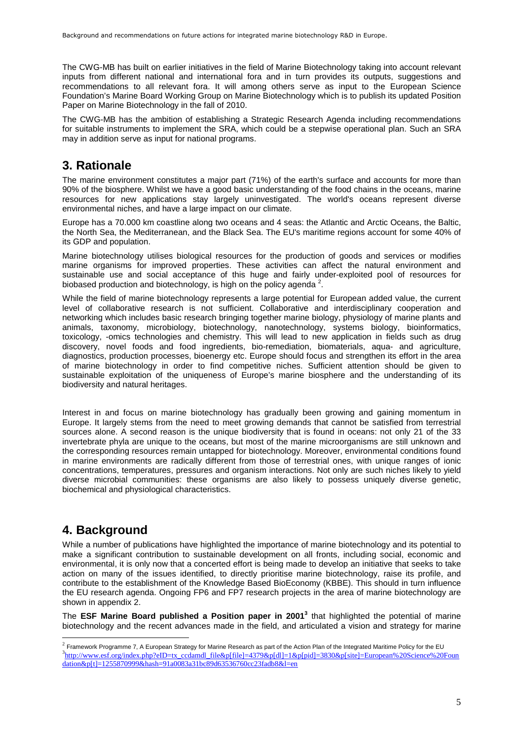The CWG-MB has built on earlier initiatives in the field of Marine Biotechnology taking into account relevant inputs from different national and international fora and in turn provides its outputs, suggestions and recommendations to all relevant fora. It will among others serve as input to the European Science Foundation's Marine Board Working Group on Marine Biotechnology which is to publish its updated Position Paper on Marine Biotechnology in the fall of 2010.

The CWG-MB has the ambition of establishing a Strategic Research Agenda including recommendations for suitable instruments to implement the SRA, which could be a stepwise operational plan. Such an SRA may in addition serve as input for national programs.

## <span id="page-4-0"></span>**3. Rationale**

The marine environment constitutes a major part (71%) of the earth's surface and accounts for more than 90% of the biosphere. Whilst we have a good basic understanding of the food chains in the oceans, marine resources for new applications stay largely uninvestigated. The world's oceans represent diverse environmental niches, and have a large impact on our climate.

Europe has a 70.000 km coastline along two oceans and 4 seas: the Atlantic and Arctic Oceans, the Baltic, the North Sea, the Mediterranean, and the Black Sea. The EU's maritime regions account for some 40% of its GDP and population.

Marine biotechnology utilises biological resources for the production of goods and services or modifies marine organisms for improved properties. These activities can affect the natural environment and sustainable use and social acceptance of this huge and fairly under-exploited pool of resources for biobased production and biotechnology, is high on the policy agenda  $^2$  $^2$ .

While the field of marine biotechnology represents a large potential for European added value, the current level of collaborative research is not sufficient. Collaborative and interdisciplinary cooperation and networking which includes basic research bringing together marine biology, physiology of marine plants and animals, taxonomy, microbiology, biotechnology, nanotechnology, systems biology, bioinformatics, toxicology, -omics technologies and chemistry. This will lead to new application in fields such as drug discovery, novel foods and food ingredients, bio-remediation, biomaterials, aqua- and agriculture, diagnostics, production processes, bioenergy etc. Europe should focus and strengthen its effort in the area of marine biotechnology in order to find competitive niches. Sufficient attention should be given to sustainable exploitation of the uniqueness of Europe's marine biosphere and the understanding of its biodiversity and natural heritages.

Interest in and focus on marine biotechnology has gradually been growing and gaining momentum in Europe. It largely stems from the need to meet growing demands that cannot be satisfied from terrestrial sources alone. A second reason is the unique biodiversity that is found in oceans: not only 21 of the 33 invertebrate phyla are unique to the oceans, but most of the marine microorganisms are still unknown and the corresponding resources remain untapped for biotechnology. Moreover, environmental conditions found in marine environments are radically different from those of terrestrial ones, with unique ranges of ionic concentrations, temperatures, pressures and organism interactions. Not only are such niches likely to yield diverse microbial communities: these organisms are also likely to possess uniquely diverse genetic, biochemical and physiological characteristics.

## <span id="page-4-1"></span>**4. Background**

While a number of publications have highlighted the importance of marine biotechnology and its potential to make a significant contribution to sustainable development on all fronts, including social, economic and environmental, it is only now that a concerted effort is being made to develop an initiative that seeks to take action on many of the issues identified, to directly prioritise marine biotechnology, raise its profile, and contribute to the establishment of the Knowledge Based BioEconomy (KBBE). This should in turn influence the EU research agenda. Ongoing FP6 and FP7 research projects in the area of marine biotechnology are shown in appendix 2.

The **ESF Marine Board published a Position paper in20[01](#page-4-3) [3](#page-4-3)** that highlighted the potential of marine biotechnology and the recent advances made in the field, and articulated a vision and strategy for marine

<span id="page-4-3"></span><span id="page-4-2"></span> $^2$  Framework Programme 7, A European Strategy for Marine Research as part of the Action Plan of the Integrated Maritime Policy for the EU <sup>3</sup>http://www.esf.org/index.php?eID=tx\_ccdamdl\_file&p[file]=4379&p[dl]=1&p[pid]=3830&p[site]=European%20Science%20Foun dation&p[t]=1255870999&hash=91a0083a31bc89d63536760cc23fadb8&l=en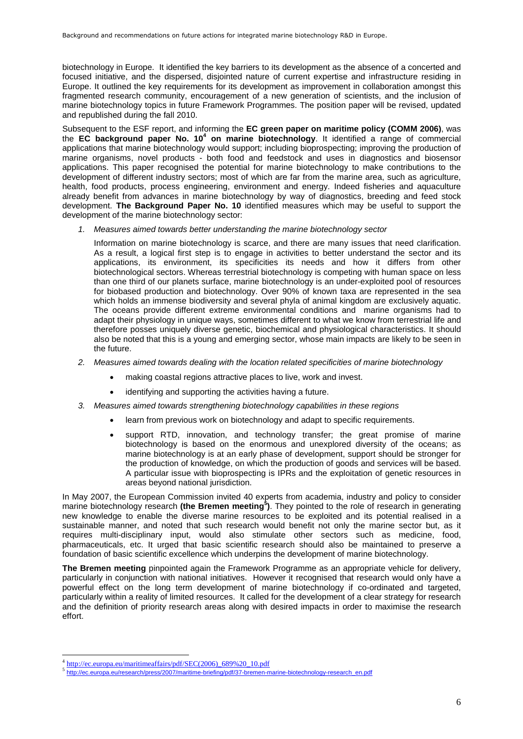biotechnology in Europe. It identified the key barriers to its development as the absence of a concerted and focused initiative, and the dispersed, disjointed nature of current expertise and infrastructure residing in Europe. It outlined the key requirements for its development as improvement in collaboration amongst this fragmented research community, encouragement of a new generation of scientists, and the inclusion of marine biotechnology topics in future Framework Programmes. The position paper will be revised, updated and republished during the fall 2010.

Subsequent to the ESF report, and informing the **EC green paper on maritime policy (COMM 2006)**, was the **EC background paper No.1[0](#page-5-0)<sup>4</sup> on marine biotechnology**. It identified a range of commercial applications that marine biotechnology would support; including bioprospecting; improving the production of marine organisms, novel products - both food and feedstock and uses in diagnostics and biosensor applications. This paper recognised the potential for marine biotechnology to make contributions to the development of different industry sectors; most of which are far from the marine area, such as agriculture, health, food products, process engineering, environment and energy. Indeed fisheries and aquaculture already benefit from advances in marine biotechnology by way of diagnostics, breeding and feed stock development. **The Background Paper No. 10** identified measures which may be useful to support the development of the marine biotechnology sector:

*1. Measures aimed towards better understanding the marine biotechnology sector*

Information on marine biotechnology is scarce, and there are many issues that need clarification. As a result, a logical first step is to engage in activities to better understand the sector and its applications, its environment, its specificities its needs and how it differs from other biotechnological sectors. Whereas terrestrial biotechnology is competing with human space on less than one third of our planets surface, marine biotechnology is an under-exploited pool of resources for biobased production and biotechnology. Over 90% of known taxa are represented in the sea which holds an immense biodiversity and several phyla of animal kingdom are exclusively aquatic. The oceans provide different extreme environmental conditions and marine organisms had to adapt their physiology in unique ways, sometimes different to what we know from terrestrial life and therefore posses uniquely diverse genetic, biochemical and physiological characteristics. It should also be noted that this is a young and emerging sector, whose main impacts are likely to be seen in the future.

- *2. Measures aimed towards dealing with the location related specificities of marine biotechnology*
	- making coastal regions attractive places to live, work and invest.
	- identifying and supporting the activities having a future.
- *3. Measures aimed towards strengthening biotechnology capabilities in these regions*
	- learn from previous work on biotechnology and adapt to specific requirements.
	- support RTD, innovation, and technology transfer; the great promise of marine biotechnology is based on the enormous and unexplored diversity of the oceans; as marine biotechnology is at an early phase of development, support should be stronger for the production of knowledge, on which the production of goods and services will be based. A particular issue with bioprospecting is IPRs and the exploitation of genetic resources in areas beyond national jurisdiction.

In May 2007, the European Commission invited 40 experts from academia, industry and policy to consider marine biotechnology research **(the Bremen meeting[5](#page-5-1) )**. They pointed to the role of research in generating new knowledge to enable the diverse marine resources to be exploited and its potential realised in a sustainable manner, and noted that such research would benefit not only the marine sector but, as it requires multi-disciplinary input, would also stimulate other sectors such as medicine, food, pharmaceuticals, etc. It urged that basic scientific research should also be maintained to preserve a foundation of basic scientific excellence which underpins the development of marine biotechnology.

**The Bremen meeting** pinpointed again the Framework Programme as an appropriate vehicle for delivery, particularly in conjunction with national initiatives. However it recognised that research would only have a powerful effect on the long term development of marine biotechnology if co-ordinated and targeted, particularly within a reality of limited resources. It called for the development of a clear strategy for research and the definition of priority research areas along with desired impacts in order to maximise the research effort.

<span id="page-5-1"></span><span id="page-5-0"></span><sup>&</sup>lt;sup>4</sup> http://ec.europa.eu/maritimeaffairs/pdf/SEC(2006)\_689%20\_10.pdf

<sup>5</sup> http://ec.europa.eu/research/press/2007/maritime-briefing/pdf/37-bremen-marine-biotechnology-research\_en.pdf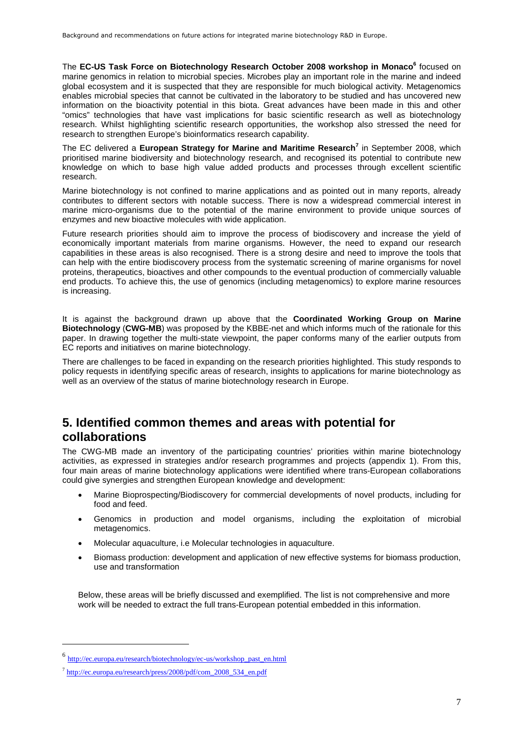The **EC-US Task Force on Biotechnology Research October 2008 workshop in Monaco[6](#page-6-1)** focused on marine genomics in relation to microbial species. Microbes play an important role in the marine and indeed global ecosystem and it is suspected that they are responsible for much biological activity. Metagenomics enables microbial species that cannot be cultivated in the laboratory to be studied and has uncovered new information on the bioactivity potential in this biota. Great advances have been made in this and other "omics" technologies that have vast implications for basic scientific research as well as biotechnology research. Whilst highlighting scientific research opportunities, the workshop also stressed the need for research to strengthen Europe's bioinformatics research capability.

The EC delivered a **European Strategy for Marine and Maritime Research[7](#page-6-2)** in September 2008, which prioritised marine biodiversity and biotechnology research, and recognised its potential to contribute new knowledge on which to base high value added products and processes through excellent scientific research.

Marine biotechnology is not confined to marine applications and as pointed out in many reports, already contributes to different sectors with notable success. There is now a widespread commercial interest in marine micro-organisms due to the potential of the marine environment to provide unique sources of enzymes and new bioactive molecules with wide application.

Future research priorities should aim to improve the process of biodiscovery and increase the yield of economically important materials from marine organisms. However, the need to expand our research capabilities in these areas is also recognised. There is a strong desire and need to improve the tools that can help with the entire biodiscovery process from the systematic screening of marine organisms for novel proteins, therapeutics, bioactives and other compounds to the eventual production of commercially valuable end products. To achieve this, the use of genomics (including metagenomics) to explore marine resources is increasing.

It is against the background drawn up above that the **Coordinated Working Group on Marine Biotechnology** (**CWG-MB**) was proposed by the KBBE-net and which informs much of the rationale for this paper. In drawing together the multi-state viewpoint, the paper conforms many of the earlier outputs from EC reports and initiatives on marine biotechnology.

There are challenges to be faced in expanding on the research priorities highlighted. This study responds to policy requests in identifying specific areas of research, insights to applications for marine biotechnology as well as an overview of the status of marine biotechnology research in Europe.

## <span id="page-6-0"></span>**5. Identified common themes and areas with potential for collaborations**

The CWG-MB made an inventory of the participating countries' priorities within marine biotechnology activities, as expressed in strategies and/or research programmes and projects (appendix 1). From this, four main areas of marine biotechnology applications were identified where trans-European collaborations could give synergies and strengthen European knowledge and development:

- Marine Bioprospecting/Biodiscovery for commercial developments of novel products, including for food and feed.
- Genomics in production and model organisms, including the exploitation of microbial metagenomics.
- Molecular aquaculture, i.e Molecular technologies in aquaculture.
- Biomass production: development and application of new effective systems for biomass production, use and transformation

Below, these areas will be briefly discussed and exemplified. The list is not comprehensive and more work will be needed to extract the full trans-European potential embedded in this information.

<span id="page-6-1"></span><sup>6</sup> http://ec.europa.eu/research/biotechnology/ec-us/workshop\_past\_en.html

<span id="page-6-2"></span><sup>&</sup>lt;sup>7</sup> http://ec.europa.eu/research/press/2008/pdf/com\_2008\_534\_en.pdf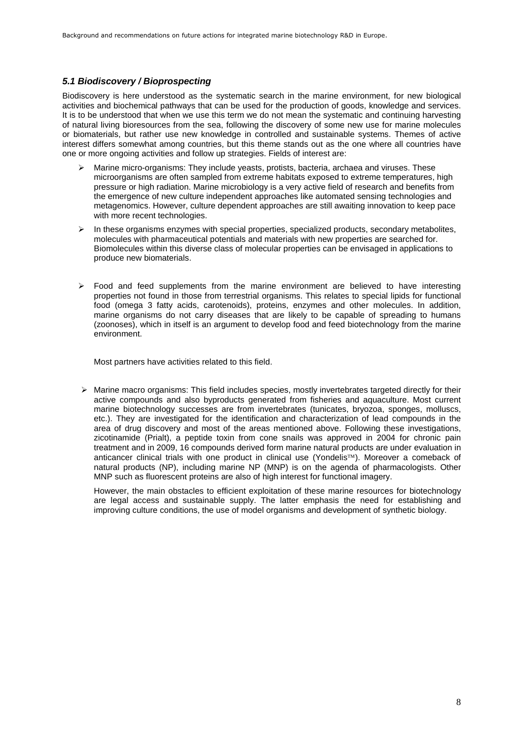### *5.1 Biodiscovery / Bioprospecting*

Biodiscovery is here understood as the systematic search in the marine environment, for new biological activities and biochemical pathways that can be used for the production of goods, knowledge and services. It is to be understood that when we use this term we do not mean the systematic and continuing harvesting of natural living bioresources from the sea, following the discovery of some new use for marine molecules or biomaterials, but rather use new knowledge in controlled and sustainable systems. Themes of active interest differs somewhat among countries, but this theme stands out as the one where all countries have one or more ongoing activities and follow up strategies. Fields of interest are:

- Marine micro-organisms: They include yeasts, protists, bacteria, archaea and viruses. These microorganisms are often sampled from extreme habitats exposed to extreme temperatures, high pressure or high radiation. Marine microbiology is a very active field of research and benefits from the emergence of new culture independent approaches like automated sensing technologies and metagenomics. However, culture dependent approaches are still awaiting innovation to keep pace with more recent technologies.
- $\triangleright$  In these organisms enzymes with special properties, specialized products, secondary metabolites, molecules with pharmaceutical potentials and materials with new properties are searched for. Biomolecules within this diverse class of molecular properties can be envisaged in applications to produce new biomaterials.
- $\triangleright$  Food and feed supplements from the marine environment are believed to have interesting properties not found in those from terrestrial organisms. This relates to special lipids for functional food (omega 3 fatty acids, carotenoids), proteins, enzymes and other molecules. In addition, marine organisms do not carry diseases that are likely to be capable of spreading to humans (zoonoses), which in itself is an argument to develop food and feed biotechnology from the marine environment.

Most partners have activities related to this field.

 $\triangleright$  Marine macro organisms: This field includes species, mostly invertebrates targeted directly for their active compounds and also byproducts generated from fisheries and aquaculture. Most current marine biotechnology successes are from invertebrates (tunicates, bryozoa, sponges, molluscs, etc.). They are investigated for the identification and characterization of lead compounds in the area of drug discovery and most of the areas mentioned above. Following these investigations, zicotinamide (Prialt), a peptide toxin from cone snails was approved in 2004 for chronic pain treatment and in 2009, 16 compounds derived form marine natural products are under evaluation in anticancer clinical trials with one product in clinical use (Yondelis™). Moreover a comeback of natural products (NP), including marine NP (MNP) is on the agenda of pharmacologists. Other MNP such as fluorescent proteins are also of high interest for functional imagery.

However, the main obstacles to efficient exploitation of these marine resources for biotechnology are legal access and sustainable supply. The latter emphasis the need for establishing and improving culture conditions, the use of model organisms and development of synthetic biology.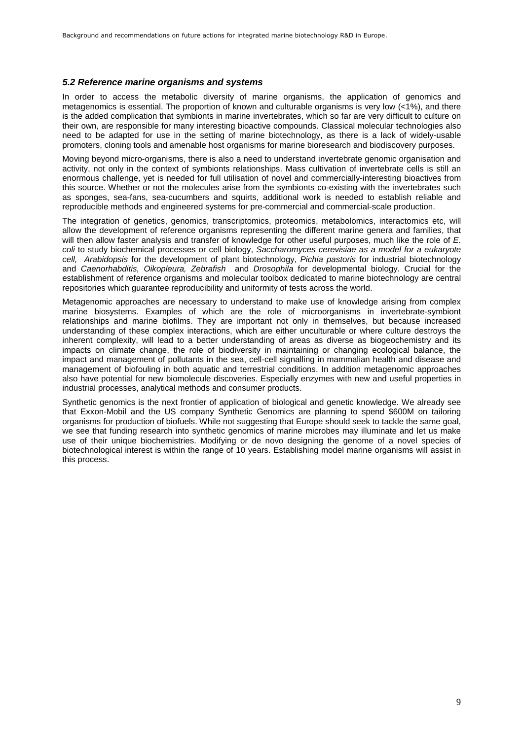#### *5.2 Reference marine organisms and systems*

In order to access the metabolic diversity of marine organisms, the application of genomics and metagenomics is essential. The proportion of known and culturable organisms is very low (<1%), and there is the added complication that symbionts in marine invertebrates, which so far are very difficult to culture on their own, are responsible for many interesting bioactive compounds. Classical molecular technologies also need to be adapted for use in the setting of marine biotechnology, as there is a lack of widely-usable promoters, cloning tools and amenable host organisms for marine bioresearch and biodiscovery purposes.

Moving beyond micro-organisms, there is also a need to understand invertebrate genomic organisation and activity, not only in the context of symbionts relationships. Mass cultivation of invertebrate cells is still an enormous challenge, yet is needed for full utilisation of novel and commercially-interesting bioactives from this source. Whether or not the molecules arise from the symbionts co-existing with the invertebrates such as sponges, sea-fans, sea-cucumbers and squirts, additional work is needed to establish reliable and reproducible methods and engineered systems for pre-commercial and commercial-scale production.

The integration of genetics, genomics, transcriptomics, proteomics, metabolomics, interactomics etc, will allow the development of reference organisms representing the different marine genera and families, that will then allow faster analysis and transfer of knowledge for other useful purposes, much like the role of *E. coli* to study biochemical processes or cell biology, *Saccharomyces cerevisiae as a model for a eukaryote cell, Arabidopsis* for the development of plant biotechnology, *Pichia pastoris* for industrial biotechnology and *Caenorhabditis, Oikopleura, Zebrafish* and *Drosophila* for developmental biology. Crucial for the establishment of reference organisms and molecular toolbox dedicated to marine biotechnology are central repositories which guarantee reproducibility and uniformity of tests across the world.

Metagenomic approaches are necessary to understand to make use of knowledge arising from complex marine biosystems. Examples of which are the role of microorganisms in invertebrate-symbiont relationships and marine biofilms. They are important not only in themselves, but because increased understanding of these complex interactions, which are either unculturable or where culture destroys the inherent complexity, will lead to a better understanding of areas as diverse as biogeochemistry and its impacts on climate change, the role of biodiversity in maintaining or changing ecological balance, the impact and management of pollutants in the sea, cell-cell signalling in mammalian health and disease and management of biofouling in both aquatic and terrestrial conditions. In addition metagenomic approaches also have potential for new biomolecule discoveries. Especially enzymes with new and useful properties in industrial processes, analytical methods and consumer products.

Synthetic genomics is the next frontier of application of biological and genetic knowledge. We already see that Exxon-Mobil and the US company Synthetic Genomics are planning to spend \$600M on tailoring organisms for production of biofuels. While not suggesting that Europe should seek to tackle the same goal, we see that funding research into synthetic genomics of marine microbes may illuminate and let us make use of their unique biochemistries. Modifying or de novo designing the genome of a novel species of biotechnological interest is within the range of 10 years. Establishing model marine organisms will assist in this process.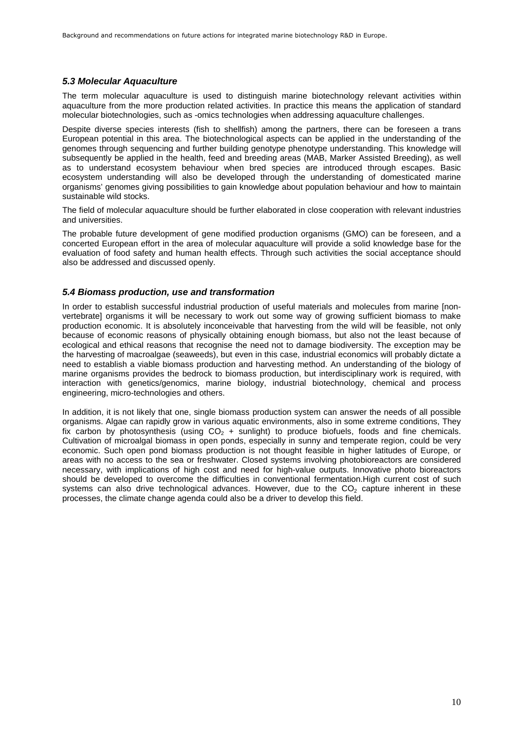### *5.3 Molecular Aquaculture*

The term molecular aquaculture is used to distinguish marine biotechnology relevant activities within aquaculture from the more production related activities. In practice this means the application of standard molecular biotechnologies, such as -omics technologies when addressing aquaculture challenges.

Despite diverse species interests (fish to shellfish) among the partners, there can be foreseen a trans European potential in this area. The biotechnological aspects can be applied in the understanding of the genomes through sequencing and further building genotype phenotype understanding. This knowledge will subsequently be applied in the health, feed and breeding areas (MAB, Marker Assisted Breeding), as well as to understand ecosystem behaviour when bred species are introduced through escapes. Basic ecosystem understanding will also be developed through the understanding of domesticated marine organisms' genomes giving possibilities to gain knowledge about population behaviour and how to maintain sustainable wild stocks.

The field of molecular aquaculture should be further elaborated in close cooperation with relevant industries and universities.

The probable future development of gene modified production organisms (GMO) can be foreseen, and a concerted European effort in the area of molecular aquaculture will provide a solid knowledge base for the evaluation of food safety and human health effects. Through such activities the social acceptance should also be addressed and discussed openly.

### *5.4 Biomass production, use and transformation*

In order to establish successful industrial production of useful materials and molecules from marine [nonvertebrate] organisms it will be necessary to work out some way of growing sufficient biomass to make production economic. It is absolutely inconceivable that harvesting from the wild will be feasible, not only because of economic reasons of physically obtaining enough biomass, but also not the least because of ecological and ethical reasons that recognise the need not to damage biodiversity. The exception may be the harvesting of macroalgae (seaweeds), but even in this case, industrial economics will probably dictate a need to establish a viable biomass production and harvesting method. An understanding of the biology of marine organisms provides the bedrock to biomass production, but interdisciplinary work is required, with interaction with genetics/genomics, marine biology, industrial biotechnology, chemical and process engineering, micro-technologies and others.

In addition, it is not likely that one, single biomass production system can answer the needs of all possible organisms. Algae can rapidly grow in various aquatic environments, also in some extreme conditions, They fix carbon by photosynthesis (using  $CO<sub>2</sub> +$  sunlight) to produce biofuels, foods and fine chemicals. Cultivation of microalgal biomass in open ponds, especially in sunny and temperate region, could be very economic. Such open pond biomass production is not thought feasible in higher latitudes of Europe, or areas with no access to the sea or freshwater. Closed systems involving photobioreactors are considered necessary, with implications of high cost and need for high-value outputs. Innovative photo bioreactors should be developed to overcome the difficulties in conventional fermentation.High current cost of such systems can also drive technological advances. However, due to the  $CO<sub>2</sub>$  capture inherent in these processes, the climate change agenda could also be a driver to develop this field.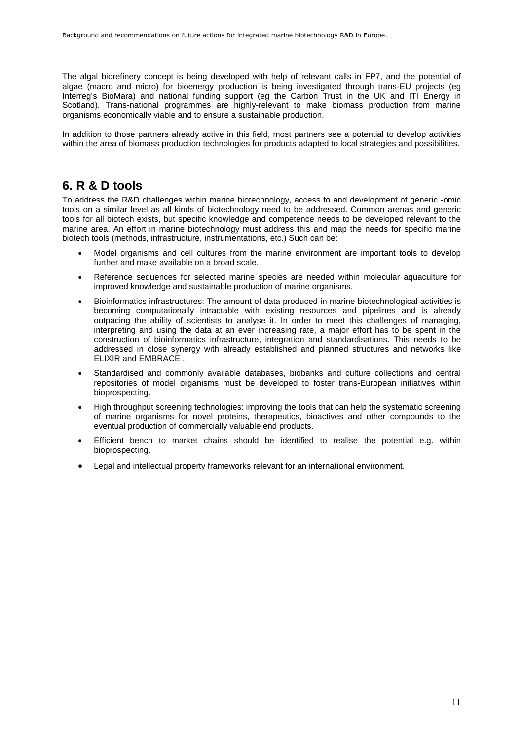The algal biorefinery concept is being developed with help of relevant calls in FP7, and the potential of algae (macro and micro) for bioenergy production is being investigated through trans-EU projects (eg Interreg's BioMara) and national funding support (eg the Carbon Trust in the UK and ITI Energy in Scotland). Trans-national programmes are highly-relevant to make biomass production from marine organisms economically viable and to ensure a sustainable production.

In addition to those partners already active in this field, most partners see a potential to develop activities within the area of biomass production technologies for products adapted to local strategies and possibilities.

## <span id="page-10-0"></span>**6. R & D tools**

To address the R&D challenges within marine biotechnology, access to and development of generic -omic tools on a similar level as all kinds of biotechnology need to be addressed. Common arenas and generic tools for all biotech exists, but specific knowledge and competence needs to be developed relevant to the marine area. An effort in marine biotechnology must address this and map the needs for specific marine biotech tools (methods, infrastructure, instrumentations, etc.) Such can be:

- Model organisms and cell cultures from the marine environment are important tools to develop further and make available on a broad scale.
- Reference sequences for selected marine species are needed within molecular aquaculture for improved knowledge and sustainable production of marine organisms.
- Bioinformatics infrastructures: The amount of data produced in marine biotechnological activities is becoming computationally intractable with existing resources and pipelines and is already outpacing the ability of scientists to analyse it. In order to meet this challenges of managing, interpreting and using the data at an ever increasing rate, a major effort has to be spent in the construction of bioinformatics infrastructure, integration and standardisations. This needs to be addressed in close synergy with already established and planned structures and networks like ELIXIR and EMBRACE .
- Standardised and commonly available databases, biobanks and culture collections and central repositories of model organisms must be developed to foster trans-European initiatives within bioprospecting.
- High throughput screening technologies: improving the tools that can help the systematic screening of marine organisms for novel proteins, therapeutics, bioactives and other compounds to the eventual production of commercially valuable end products.
- Efficient bench to market chains should be identified to realise the potential e.g. within bioprospecting.
- Legal and intellectual property frameworks relevant for an international environment.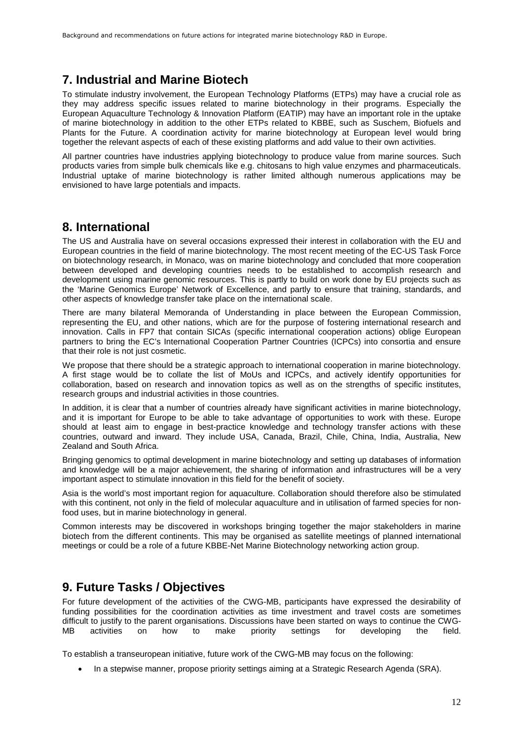## <span id="page-11-0"></span>**7. Industrial and Marine Biotech**

To stimulate industry involvement, the European Technology Platforms (ETPs) may have a crucial role as they may address specific issues related to marine biotechnology in their programs. Especially the European Aquaculture Technology & Innovation Platform (EATIP) may have an important role in the uptake of marine biotechnology in addition to the other ETPs related to KBBE, such as Suschem, Biofuels and Plants for the Future. A coordination activity for marine biotechnology at European level would bring together the relevant aspects of each of these existing platforms and add value to their own activities.

All partner countries have industries applying biotechnology to produce value from marine sources. Such products varies from simple bulk chemicals like e.g. chitosans to high value enzymes and pharmaceuticals. Industrial uptake of marine biotechnology is rather limited although numerous applications may be envisioned to have large potentials and impacts.

## <span id="page-11-1"></span>**8. International**

The US and Australia have on several occasions expressed their interest in collaboration with the EU and European countries in the field of marine biotechnology. The most recent meeting of the EC-US Task Force on biotechnology research, in Monaco, was on marine biotechnology and concluded that more cooperation between developed and developing countries needs to be established to accomplish research and development using marine genomic resources. This is partly to build on work done by EU projects such as the 'Marine Genomics Europe' Network of Excellence, and partly to ensure that training, standards, and other aspects of knowledge transfer take place on the international scale.

There are many bilateral Memoranda of Understanding in place between the European Commission, representing the EU, and other nations, which are for the purpose of fostering international research and innovation. Calls in FP7 that contain SICAs (specific international cooperation actions) oblige European partners to bring the EC's International Cooperation Partner Countries (ICPCs) into consortia and ensure that their role is not just cosmetic.

We propose that there should be a strategic approach to international cooperation in marine biotechnology. A first stage would be to collate the list of MoUs and ICPCs, and actively identify opportunities for collaboration, based on research and innovation topics as well as on the strengths of specific institutes, research groups and industrial activities in those countries.

In addition, it is clear that a number of countries already have significant activities in marine biotechnology, and it is important for Europe to be able to take advantage of opportunities to work with these. Europe should at least aim to engage in best-practice knowledge and technology transfer actions with these countries, outward and inward. They include USA, Canada, Brazil, Chile, China, India, Australia, New Zealand and South Africa.

Bringing genomics to optimal development in marine biotechnology and setting up databases of information and knowledge will be a major achievement, the sharing of information and infrastructures will be a very important aspect to stimulate innovation in this field for the benefit of society.

Asia is the world's most important region for aquaculture. Collaboration should therefore also be stimulated with this continent, not only in the field of molecular aquaculture and in utilisation of farmed species for nonfood uses, but in marine biotechnology in general.

Common interests may be discovered in workshops bringing together the major stakeholders in marine biotech from the different continents. This may be organised as satellite meetings of planned international meetings or could be a role of a future KBBE-Net Marine Biotechnology networking action group.

## <span id="page-11-2"></span>**9. Future Tasks / Objectives**

For future development of the activities of the CWG-MB, participants have expressed the desirability of funding possibilities for the coordination activities as time investment and travel costs are sometimes difficult to justify to the parent organisations. Discussions have been started on ways to continue the CWG-MB activities on how to make priority settings for developing the field.

To establish a transeuropean initiative, future work of the CWG-MB may focus on the following:

In a stepwise manner, propose priority settings aiming at a Strategic Research Agenda (SRA).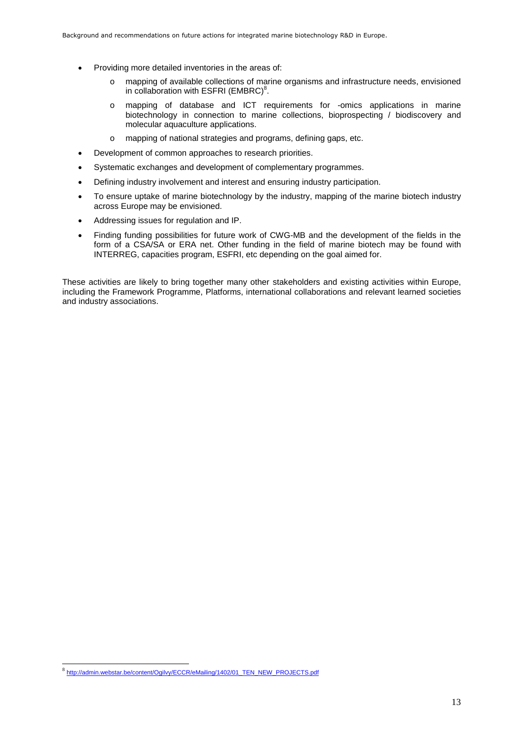- Providing more detailed inventories in the areas of:
	- o mapping of available collections of marine organisms and infrastructure needs, envisioned in collaboration with ESFRI (EMBRC)<sup>[8](#page-12-0)</sup>.
	- o mapping of database and ICT requirements for -omics applications in marine biotechnology in connection to marine collections, bioprospecting / biodiscovery and molecular aquaculture applications.
	- o mapping of national strategies and programs, defining gaps, etc.
- Development of common approaches to research priorities.
- Systematic exchanges and development of complementary programmes.
- Defining industry involvement and interest and ensuring industry participation.
- To ensure uptake of marine biotechnology by the industry, mapping of the marine biotech industry across Europe may be envisioned.
- Addressing issues for regulation and IP.
- Finding funding possibilities for future work of CWG-MB and the development of the fields in the form of a CSA/SA or ERA net. Other funding in the field of marine biotech may be found with INTERREG, capacities program, ESFRI, etc depending on the goal aimed for.

These activities are likely to bring together many other stakeholders and existing activities within Europe, including the Framework Programme, Platforms, international collaborations and relevant learned societies and industry associations.

<span id="page-12-0"></span><sup>8&</sup>lt;br>http://admin.webstar.be/content/Ogilvy/ECCR/eMailing/1402/01\_TEN\_NEW\_PROJECTS.pdf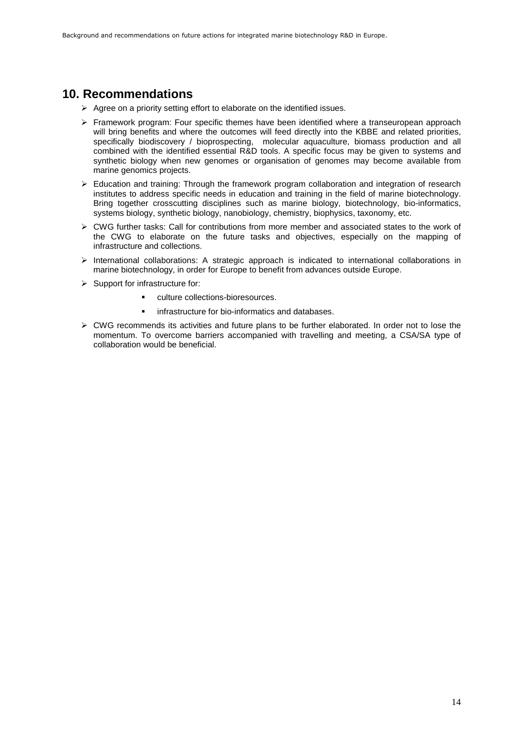## <span id="page-13-0"></span>**10. Recommendations**

- $\triangleright$  Agree on a priority setting effort to elaborate on the identified issues.
- $\triangleright$  Framework program: Four specific themes have been identified where a transeuropean approach will bring benefits and where the outcomes will feed directly into the KBBE and related priorities, specifically biodiscovery / bioprospecting, molecular aquaculture, biomass production and all combined with the identified essential R&D tools. A specific focus may be given to systems and synthetic biology when new genomes or organisation of genomes may become available from marine genomics projects.
- Education and training: Through the framework program collaboration and integration of research institutes to address specific needs in education and training in the field of marine biotechnology. Bring together crosscutting disciplines such as marine biology, biotechnology, bio-informatics, systems biology, synthetic biology, nanobiology, chemistry, biophysics, taxonomy, etc.
- $\triangleright$  CWG further tasks: Call for contributions from more member and associated states to the work of the CWG to elaborate on the future tasks and objectives, especially on the mapping of infrastructure and collections.
- $\triangleright$  International collaborations: A strategic approach is indicated to international collaborations in marine biotechnology, in order for Europe to benefit from advances outside Europe.
- $\triangleright$  Support for infrastructure for:
	- culture collections-bioresources.
	- **F** infrastructure for bio-informatics and databases.
- <span id="page-13-1"></span> $\triangleright$  CWG recommends its activities and future plans to be further elaborated. In order not to lose the momentum. To overcome barriers accompanied with travelling and meeting, a CSA/SA type of collaboration would be beneficial.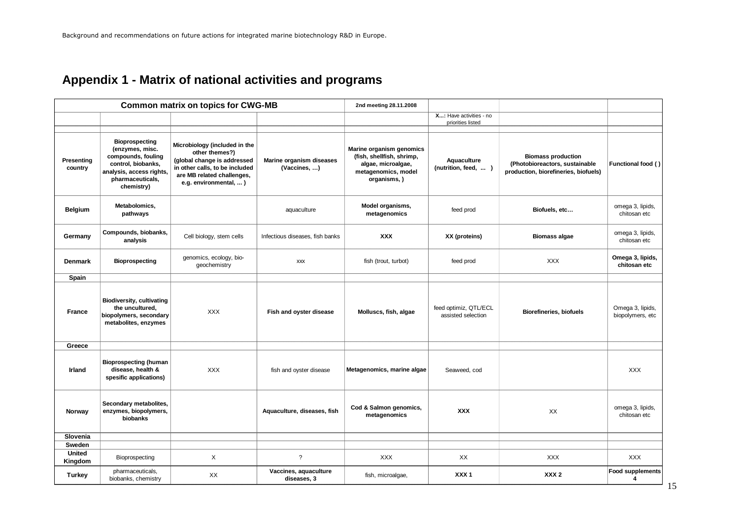# <span id="page-14-0"></span>**Appendix 1 - Matrix of national activities and programs**

| <b>Common matrix on topics for CWG-MB</b> |                                                                                                                                                    |                                                                                                                                                                          | 2nd meeting 28.11.2008                   |                                                                                                                    |                                              |                                                                                                     |                                      |
|-------------------------------------------|----------------------------------------------------------------------------------------------------------------------------------------------------|--------------------------------------------------------------------------------------------------------------------------------------------------------------------------|------------------------------------------|--------------------------------------------------------------------------------------------------------------------|----------------------------------------------|-----------------------------------------------------------------------------------------------------|--------------------------------------|
|                                           |                                                                                                                                                    |                                                                                                                                                                          |                                          |                                                                                                                    | X: Have activities - no<br>priorities listed |                                                                                                     |                                      |
|                                           |                                                                                                                                                    |                                                                                                                                                                          |                                          |                                                                                                                    |                                              |                                                                                                     |                                      |
| Presenting<br>country                     | <b>Bioprospecting</b><br>(enzymes, misc.<br>compounds, fouling<br>control, biobanks,<br>analysis, access rights,<br>pharmaceuticals,<br>chemistry) | Microbiology (included in the<br>other themes?)<br>(global change is addressed<br>in other calls, to be included<br>are MB related challenges,<br>e.g. environmental,  ) | Marine organism diseases<br>(Vaccines, ) | Marine organism genomics<br>(fish, shellfish, shrimp,<br>algae, microalgae,<br>metagenomics, model<br>organisms, ) | Aquaculture<br>(nutrition, feed,  )          | <b>Biomass production</b><br>(Photobioreactors, sustainable<br>production, biorefineries, biofuels) | Functional food ()                   |
| Belgium                                   | Metabolomics,<br>pathways                                                                                                                          |                                                                                                                                                                          | aquaculture                              | Model organisms,<br>metagenomics                                                                                   | feed prod                                    | Biofuels, etc                                                                                       | omega 3, lipids,<br>chitosan etc     |
| Germany                                   | Compounds, biobanks,<br>analysis                                                                                                                   | Cell biology, stem cells                                                                                                                                                 | Infectious diseases, fish banks          | <b>XXX</b>                                                                                                         | XX (proteins)                                | <b>Biomass algae</b>                                                                                | omega 3, lipids,<br>chitosan etc     |
| <b>Denmark</b>                            | Bioprospecting                                                                                                                                     | genomics, ecology, bio-<br>geochemistry                                                                                                                                  | <b>XXX</b>                               | fish (trout, turbot)                                                                                               | feed prod                                    | <b>XXX</b>                                                                                          | Omega 3, lipids,<br>chitosan etc     |
| Spain                                     |                                                                                                                                                    |                                                                                                                                                                          |                                          |                                                                                                                    |                                              |                                                                                                     |                                      |
| France                                    | <b>Biodiversity, cultivating</b><br>the uncultured,<br>biopolymers, secondary<br>metabolites, enzymes                                              | <b>XXX</b>                                                                                                                                                               | Fish and oyster disease                  | Molluscs, fish, algae                                                                                              | feed optimiz, QTL/ECL<br>assisted selection  | <b>Biorefineries, biofuels</b>                                                                      | Omega 3, lipids,<br>biopolymers, etc |
| Greece                                    |                                                                                                                                                    |                                                                                                                                                                          |                                          |                                                                                                                    |                                              |                                                                                                     |                                      |
| Irland                                    | <b>Bioprospecting (human</b><br>disease, health &<br>spesific applications)                                                                        | <b>XXX</b>                                                                                                                                                               | fish and oyster disease                  | Metagenomics, marine algae                                                                                         | Seaweed, cod                                 |                                                                                                     | <b>XXX</b>                           |
| Norway                                    | Secondary metabolites,<br>enzymes, biopolymers,<br>biobanks                                                                                        |                                                                                                                                                                          | Aquaculture, diseases, fish              | Cod & Salmon genomics,<br>metagenomics                                                                             | XXX                                          | XX                                                                                                  | omega 3, lipids,<br>chitosan etc     |
| Slovenia                                  |                                                                                                                                                    |                                                                                                                                                                          |                                          |                                                                                                                    |                                              |                                                                                                     |                                      |
| Sweden                                    |                                                                                                                                                    |                                                                                                                                                                          |                                          |                                                                                                                    |                                              |                                                                                                     |                                      |
| <b>United</b><br>Kingdom                  | Bioprospecting                                                                                                                                     | X                                                                                                                                                                        | $\gamma$                                 | <b>XXX</b>                                                                                                         | XX                                           | <b>XXX</b>                                                                                          | <b>XXX</b>                           |
| <b>Turkey</b>                             | pharmaceuticals,<br>biobanks, chemistry                                                                                                            | XX                                                                                                                                                                       | Vaccines, aquaculture<br>diseases, 3     | fish, microalgae,                                                                                                  | XXX <sub>1</sub>                             | XXX <sub>2</sub>                                                                                    | <b>Food supplements</b><br>4         |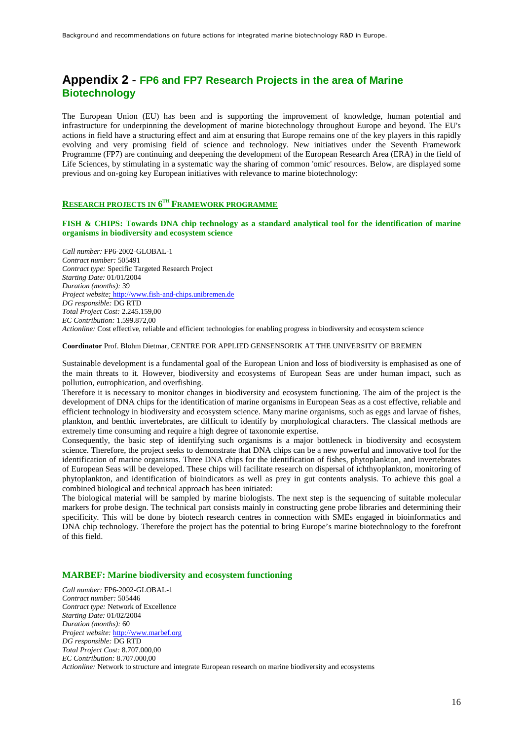## **Appendix 2 - FP6 and FP7 Research Projects in the area of Marine Biotechnology**

The European Union (EU) has been and is supporting the improvement of knowledge, human potential and infrastructure for underpinning the development of marine biotechnology throughout Europe and beyond. The EU's actions in field have a structuring effect and aim at ensuring that Europe remains one of the key players in this rapidly evolving and very promising field of science and technology. New initiatives under the Seventh Framework Programme (FP7) are continuing and deepening the development of the European Research Area (ERA) in the field of Life Sciences, by stimulating in a systematic way the sharing of common 'omic' resources. Below, are displayed some previous and on-going key European initiatives with relevance to marine biotechnology:

### **RESEARCH PROJECTS IN 6 TH FRAMEWORK PROGRAMME**

#### **FISH & CHIPS: Towards DNA chip technology as a standard analytical tool for the identification of marine organisms in biodiversity and ecosystem science**

*Call number:* FP6-2002-GLOBAL-1 *Contract number:* 505491 *Contract type:* Specific Targeted Research Project *Starting Date:* 01/01/2004 *Duration (months):* 39 *Project website:* http://www.fish-and-chips.unibremen.de *DG responsible:* DG RTD *Total Project Cost:* 2.245.159,00 *EC Contribution:* 1.599.872,00 *Actionline:* Cost effective, reliable and efficient technologies for enabling progress in biodiversity and ecosystem science

#### **Coordinator** Prof. Blohm Dietmar, CENTRE FOR APPLIED GENSENSORIK AT THE UNIVERSITY OF BREMEN

Sustainable development is a fundamental goal of the European Union and loss of biodiversity is emphasised as one of the main threats to it. However, biodiversity and ecosystems of European Seas are under human impact, such as pollution, eutrophication, and overfishing.

Therefore it is necessary to monitor changes in biodiversity and ecosystem functioning. The aim of the project is the development of DNA chips for the identification of marine organisms in European Seas as a cost effective, reliable and efficient technology in biodiversity and ecosystem science. Many marine organisms, such as eggs and larvae of fishes, plankton, and benthic invertebrates, are difficult to identify by morphological characters. The classical methods are extremely time consuming and require a high degree of taxonomie expertise.

Consequently, the basic step of identifying such organisms is a major bottleneck in biodiversity and ecosystem science. Therefore, the project seeks to demonstrate that DNA chips can be a new powerful and innovative tool for the identification of marine organisms. Three DNA chips for the identification of fishes, phytoplankton, and invertebrates of European Seas will be developed. These chips will facilitate research on dispersal of ichthyoplankton, monitoring of phytoplankton, and identification of bioindicators as well as prey in gut contents analysis. To achieve this goal a combined biological and technical approach has been initiated:

The biological material will be sampled by marine biologists. The next step is the sequencing of suitable molecular markers for probe design. The technical part consists mainly in constructing gene probe libraries and determining their specificity. This will be done by biotech research centres in connection with SMEs engaged in bioinformatics and DNA chip technology. Therefore the project has the potential to bring Europe's marine biotechnology to the forefront of this field.

#### **MARBEF: Marine biodiversity and ecosystem functioning**

*Call number:* FP6-2002-GLOBAL-1 *Contract number:* 505446 *Contract type:* Network of Excellence *Starting Date:* 01/02/2004 *Duration (months):* 60 *Project website:* http://www.marbef.org *DG responsible:* DG RTD *Total Project Cost:* 8.707.000,00 *EC Contribution:* 8.707.000,00 *Actionline:* Network to structure and integrate European research on marine biodiversity and ecosystems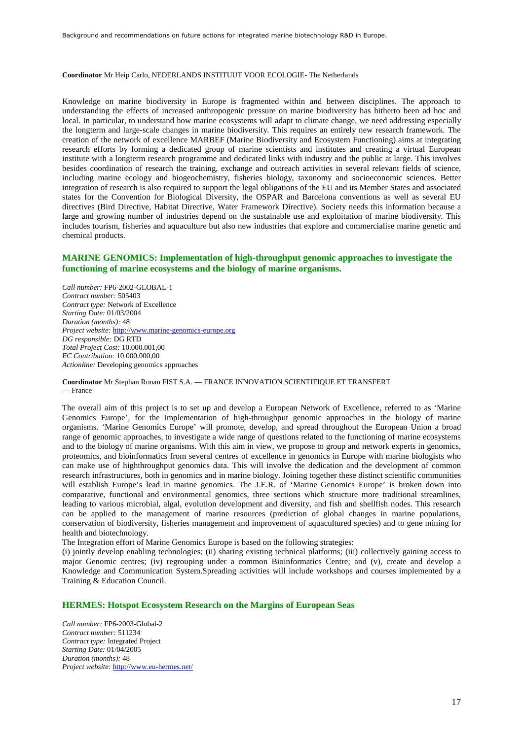**Coordinator** Mr Heip Carlo, NEDERLANDS INSTITUUT VOOR ECOLOGIE- The Netherlands

Knowledge on marine biodiversity in Europe is fragmented within and between disciplines. The approach to understanding the effects of increased anthropogenic pressure on marine biodiversity has hitherto been ad hoc and local. In particular, to understand how marine ecosystems will adapt to climate change, we need addressing especially the longterm and large-scale changes in marine biodiversity. This requires an entirely new research framework. The creation of the network of excellence MARBEF (Marine Biodiversity and Ecosystem Functioning) aims at integrating research efforts by forming a dedicated group of marine scientists and institutes and creating a virtual European institute with a longterm research programme and dedicated links with industry and the public at large. This involves besides coordination of research the training, exchange and outreach activities in several relevant fields of science, including marine ecology and biogeochemistry, fisheries biology, taxonomy and socioeconomic sciences. Better integration of research is also required to support the legal obligations of the EU and its Member States and associated states for the Convention for Biological Diversity, the OSPAR and Barcelona conventions as well as several EU directives (Bird Directive, Habitat Directive, Water Framework Directive). Society needs this information because a large and growing number of industries depend on the sustainable use and exploitation of marine biodiversity. This includes tourism, fisheries and aquaculture but also new industries that explore and commercialise marine genetic and chemical products.

#### **MARINE GENOMICS: Implementation of high-throughput genomic approaches to investigate the functioning of marine ecosystems and the biology of marine organisms.**

*Call number:* FP6-2002-GLOBAL-1 *Contract number:* 505403 *Contract type:* Network of Excellence *Starting Date:* 01/03/2004 *Duration (months):* 48 *Project website:* http://www.marine-genomics-europe.org *DG responsible:* DG RTD *Total Project Cost:* 10.000.001,00 *EC Contribution:* 10.000.000,00 *Actionline:* Developing genomics approaches

**Coordinator** Mr Stephan Ronan FIST S.A. — FRANCE INNOVATION SCIENTIFIQUE ET TRANSFERT — France

The overall aim of this project is to set up and develop a European Network of Excellence, referred to as 'Marine Genomics Europe', for the implementation of high-throughput genomic approaches in the biology of marine organisms. 'Marine Genomics Europe' will promote, develop, and spread throughout the European Union a broad range of genomic approaches, to investigate a wide range of questions related to the functioning of marine ecosystems and to the biology of marine organisms. With this aim in view, we propose to group and network experts in genomics, proteomics, and bioinformatics from several centres of excellence in genomics in Europe with marine biologists who can make use of highthroughput genomics data. This will involve the dedication and the development of common research infrastructures, both in genomics and in marine biology. Joining together these distinct scientific communities will establish Europe's lead in marine genomics. The J.E.R. of 'Marine Genomics Europe' is broken down into comparative, functional and environmental genomics, three sections which structure more traditional streamlines, leading to various microbial, algal, evolution development and diversity, and fish and shellfish nodes. This research can be applied to the management of marine resources (prediction of global changes in marine populations, conservation of biodiversity, fisheries management and improvement of aquacultured species) and to gene mining for health and biotechnology.

The Integration effort of Marine Genomics Europe is based on the following strategies:

(i) jointly develop enabling technologies; (ii) sharing existing technical platforms; (iii) collectively gaining access to major Genomic centres; (iv) regrouping under a common Bioinformatics Centre; and (v), create and develop a Knowledge and Communication System.Spreading activities will include workshops and courses implemented by a Training & Education Council.

#### **HERMES: Hotspot Ecosystem Research on the Margins of European Seas**

*Call number:* FP6-2003-Global-2 *Contract number:* 511234 *Contract type:* Integrated Project *Starting Date:* 01/04/2005 *Duration (months):* 48 *Project website:* http://www.eu-hermes.net/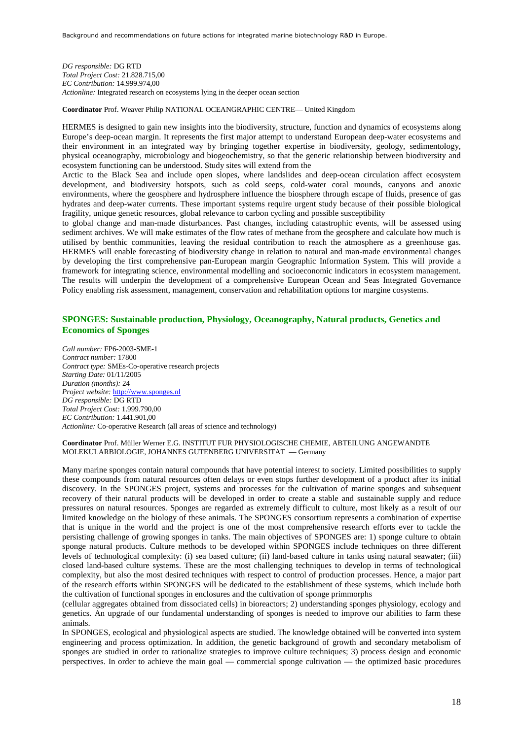*DG responsible:* DG RTD *Total Project Cost:* 21.828.715,00 *EC Contribution:* 14.999.974,00 *Actionline:* Integrated research on ecosystems lying in the deeper ocean section

**Coordinator** Prof. Weaver Philip NATIONAL OCEANGRAPHIC CENTRE— United Kingdom

HERMES is designed to gain new insights into the biodiversity, structure, function and dynamics of ecosystems along Europe's deep-ocean margin. It represents the first major attempt to understand European deep-water ecosystems and their environment in an integrated way by bringing together expertise in biodiversity, geology, sedimentology, physical oceanography, microbiology and biogeochemistry, so that the generic relationship between biodiversity and ecosystem functioning can be understood. Study sites will extend from the

Arctic to the Black Sea and include open slopes, where landslides and deep-ocean circulation affect ecosystem development, and biodiversity hotspots, such as cold seeps, cold-water coral mounds, canyons and anoxic environments, where the geosphere and hydrosphere influence the biosphere through escape of fluids, presence of gas hydrates and deep-water currents. These important systems require urgent study because of their possible biological fragility, unique genetic resources, global relevance to carbon cycling and possible susceptibility

to global change and man-made disturbances. Past changes, including catastrophic events, will be assessed using sediment archives. We will make estimates of the flow rates of methane from the geosphere and calculate how much is utilised by benthic communities, leaving the residual contribution to reach the atmosphere as a greenhouse gas. HERMES will enable forecasting of biodiversity change in relation to natural and man-made environmental changes by developing the first comprehensive pan-European margin Geographic Information System. This will provide a framework for integrating science, environmental modelling and socioeconomic indicators in ecosystem management. The results will underpin the development of a comprehensive European Ocean and Seas Integrated Governance Policy enabling risk assessment, management, conservation and rehabilitation options for margine cosystems.

### **SPONGES: Sustainable production, Physiology, Oceanography, Natural products, Genetics and Economics of Sponges**

*Call number:* FP6-2003-SME-1 *Contract number:* 17800 *Contract type:* SMEs-Co-operative research projects *Starting Date:* 01/11/2005 *Duration (months):* 24 *Project website:* http://www.sponges.nl *DG responsible:* DG RTD *Total Project Cost:* 1.999.790,00 *EC Contribution:* 1.441.901,00 *Actionline:* Co-operative Research (all areas of science and technology)

#### **Coordinator** Prof. Müller Werner E.G. INSTITUT FUR PHYSIOLOGISCHE CHEMIE, ABTEILUNG ANGEWANDTE MOLEKULARBIOLOGIE, JOHANNES GUTENBERG UNIVERSITAT — Germany

Many marine sponges contain natural compounds that have potential interest to society. Limited possibilities to supply these compounds from natural resources often delays or even stops further development of a product after its initial discovery. In the SPONGES project, systems and processes for the cultivation of marine sponges and subsequent recovery of their natural products will be developed in order to create a stable and sustainable supply and reduce pressures on natural resources. Sponges are regarded as extremely difficult to culture, most likely as a result of our limited knowledge on the biology of these animals. The SPONGES consortium represents a combination of expertise that is unique in the world and the project is one of the most comprehensive research efforts ever to tackle the persisting challenge of growing sponges in tanks. The main objectives of SPONGES are: 1) sponge culture to obtain sponge natural products. Culture methods to be developed within SPONGES include techniques on three different levels of technological complexity: (i) sea based culture; (ii) land-based culture in tanks using natural seawater; (iii) closed land-based culture systems. These are the most challenging techniques to develop in terms of technological complexity, but also the most desired techniques with respect to control of production processes. Hence, a major part of the research efforts within SPONGES will be dedicated to the establishment of these systems, which include both the cultivation of functional sponges in enclosures and the cultivation of sponge primmorphs

(cellular aggregates obtained from dissociated cells) in bioreactors; 2) understanding sponges physiology, ecology and genetics. An upgrade of our fundamental understanding of sponges is needed to improve our abilities to farm these animals.

In SPONGES, ecological and physiological aspects are studied. The knowledge obtained will be converted into system engineering and process optimization. In addition, the genetic background of growth and secondary metabolism of sponges are studied in order to rationalize strategies to improve culture techniques; 3) process design and economic perspectives. In order to achieve the main goal — commercial sponge cultivation — the optimized basic procedures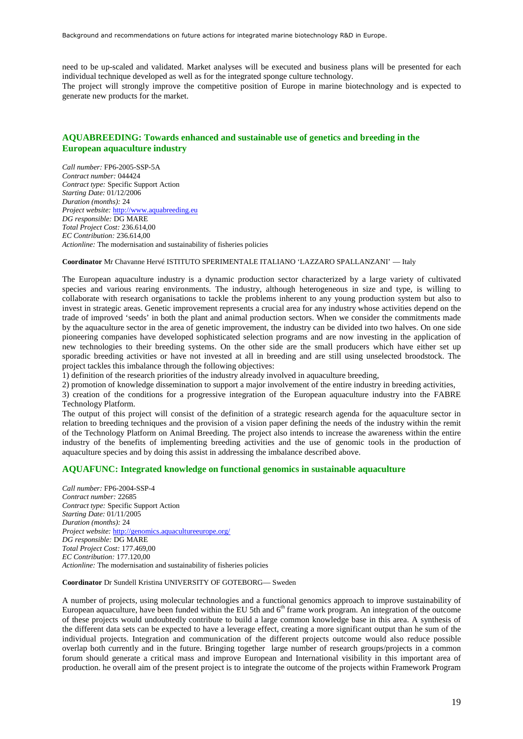need to be up-scaled and validated. Market analyses will be executed and business plans will be presented for each individual technique developed as well as for the integrated sponge culture technology. The project will strongly improve the competitive position of Europe in marine biotechnology and is expected to generate new products for the market.

### **AQUABREEDING: Towards enhanced and sustainable use of genetics and breeding in the European aquaculture industry**

*Call number:* FP6-2005-SSP-5A *Contract number:* 044424 *Contract type:* Specific Support Action *Starting Date:* 01/12/2006 *Duration (months):* 24 *Project website:* http://www.aquabreeding.eu *DG responsible:* DG MARE *Total Project Cost:* 236.614,00 *EC Contribution:* 236.614,00 *Actionline:* The modernisation and sustainability of fisheries policies

#### **Coordinator** Mr Chavanne Hervé ISTITUTO SPERIMENTALE ITALIANO 'LAZZARO SPALLANZANI' — Italy

The European aquaculture industry is a dynamic production sector characterized by a large variety of cultivated species and various rearing environments. The industry, although heterogeneous in size and type, is willing to collaborate with research organisations to tackle the problems inherent to any young production system but also to invest in strategic areas. Genetic improvement represents a crucial area for any industry whose activities depend on the trade of improved 'seeds' in both the plant and animal production sectors. When we consider the commitments made by the aquaculture sector in the area of genetic improvement, the industry can be divided into two halves. On one side pioneering companies have developed sophisticated selection programs and are now investing in the application of new technologies to their breeding systems. On the other side are the small producers which have either set up sporadic breeding activities or have not invested at all in breeding and are still using unselected broodstock. The project tackles this imbalance through the following objectives:

1) definition of the research priorities of the industry already involved in aquaculture breeding,

2) promotion of knowledge dissemination to support a major involvement of the entire industry in breeding activities,

3) creation of the conditions for a progressive integration of the European aquaculture industry into the FABRE Technology Platform.

The output of this project will consist of the definition of a strategic research agenda for the aquaculture sector in relation to breeding techniques and the provision of a vision paper defining the needs of the industry within the remit of the Technology Platform on Animal Breeding. The project also intends to increase the awareness within the entire industry of the benefits of implementing breeding activities and the use of genomic tools in the production of aquaculture species and by doing this assist in addressing the imbalance described above.

#### **AQUAFUNC: Integrated knowledge on functional genomics in sustainable aquaculture**

*Call number:* FP6-2004-SSP-4 *Contract number:* 22685 *Contract type:* Specific Support Action *Starting Date:* 01/11/2005 *Duration (months):* 24 *Project website:* http://genomics.aquacultureeurope.org/ *DG responsible:* DG MARE *Total Project Cost:* 177.469,00 *EC Contribution:* 177.120,00 *Actionline:* The modernisation and sustainability of fisheries policies

#### **Coordinator** Dr Sundell Kristina UNIVERSITY OF GOTEBORG— Sweden

A number of projects, using molecular technologies and a functional genomics approach to improve sustainability of European aquaculture, have been funded within the EU 5th and  $6<sup>th</sup>$  frame work program. An integration of the outcome of these projects would undoubtedly contribute to build a large common knowledge base in this area. A synthesis of the different data sets can be expected to have a leverage effect, creating a more significant output than he sum of the individual projects. Integration and communication of the different projects outcome would also reduce possible overlap both currently and in the future. Bringing together large number of research groups/projects in a common forum should generate a critical mass and improve European and International visibility in this important area of production. he overall aim of the present project is to integrate the outcome of the projects within Framework Program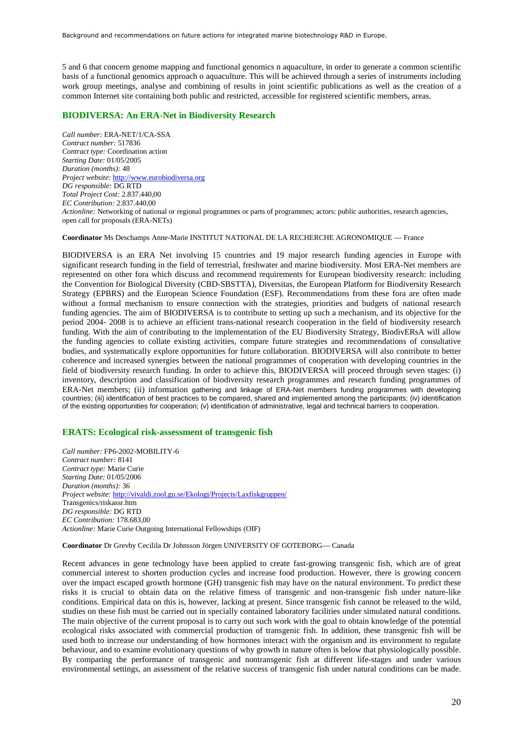5 and 6 that concern genome mapping and functional genomics n aquaculture, in order to generate a common scientific basis of a functional genomics approach o aquaculture. This will be achieved through a series of instruments including work group meetings, analyse and combining of results in joint scientific publications as well as the creation of a common Internet site containing both public and restricted, accessible for registered scientific members, areas.

#### **BIODIVERSA: An ERA-Net in Biodiversity Research**

*Call number:* ERA-NET/1/CA-SSA *Contract number:* 517836 *Contract type:* Coordination action *Starting Date:* 01/05/2005 *Duration (months):* 48 *Project website:* http://www.eurobiodiversa.org *DG responsible:* DG RTD *Total Project Cost:* 2.837.440,00 *EC Contribution:* 2.837.440,00 *Actionline:* Networking of national or regional programmes or parts of programmes; actors: public authorities, research agencies, open call for proposals (ERA-NETs)

**Coordinator** Ms Deschamps Anne-Marie INSTITUT NATIONAL DE LA RECHERCHE AGRONOMIQUE — France

BIODIVERSA is an ERA Net involving 15 countries and 19 major research funding agencies in Europe with significant research funding in the field of terrestrial, freshwater and marine biodiversity. Most ERA-Net members are represented on other fora which discuss and recommend requirements for European biodiversity research: including the Convention for Biological Diversity (CBD-SBSTTA), Diversitas, the European Platform for Biodiversity Research Strategy (EPBRS) and the European Science Foundation (ESF). Recommendations from these fora are often made without a formal mechanism to ensure connection with the strategies, priorities and budgets of national research funding agencies. The aim of BIODIVERSA is to contribute to setting up such a mechanism, and its objective for the period 2004- 2008 is to achieve an efficient trans-national research cooperation in the field of biodiversity research funding. With the aim of contributing to the implementation of the EU Biodiversity Strategy, BiodivERsA will allow the funding agencies to collate existing activities, compare future strategies and recommendations of consultative bodies, and systematically explore opportunities for future collaboration. BIODIVERSA will also contribute to better coherence and increased synergies between the national programmes of cooperation with developing countries in the field of biodiversity research funding. In order to achieve this, BIODIVERSA will proceed through seven stages: (i) inventory, description and classification of biodiversity research programmes and research funding programmes of ERA-Net members; (ii) information gathering and linkage of ERA-Net members funding programmes with developing countries; (iii) identification of best practices to be compared, shared and implemented among the participants; (iv) identification of the existing opportunities for cooperation; (v) identification of administrative, legal and technical barriers to cooperation.

#### **ERATS: Ecological risk-assessment of transgenic fish**

*Call number:* FP6-2002-MOBILITY-6 *Contract number:* 8141 *Contract type:* Marie Curie *Starting Date:* 01/05/2006 *Duration (months):* 36 *Project website:* http://vivaldi.zool.gu.se/Ekologi/Projects/Laxfiskgruppen/ Transgenics/riskassr.htm *DG responsible:* DG RTD *EC Contribution:* 178.683,00 *Actionline:* Marie Curie Outgoing International Fellowships (OIF)

**Coordinator** Dr Grevby Cecilila Dr Johnsson Jörgen UNIVERSITY OF GOTEBORG— Canada

Recent advances in gene technology have been applied to create fast-growing transgenic fish, which are of great commercial interest to shorten production cycles and increase food production. However, there is growing concern over the impact escaped growth hormone (GH) transgenic fish may have on the natural environment. To predict these risks it is crucial to obtain data on the relative fitness of transgenic and non-transgenic fish under nature-like conditions. Empirical data on this is, however, lacking at present. Since transgenic fish cannot be released to the wild, studies on these fish must be carried out in specially contained laboratory facilities under simulated natural conditions. The main objective of the current proposal is to carry out such work with the goal to obtain knowledge of the potential ecological risks associated with commercial production of transgenic fish. In addition, these transgenic fish will be used both to increase our understanding of how hormones interact with the organism and its environment to regulate behaviour, and to examine evolutionary questions of why growth in nature often is below that physiologically possible. By comparing the performance of transgenic and nontransgenic fish at different life-stages and under various environmental settings, an assessment of the relative success of transgenic fish under natural conditions can be made.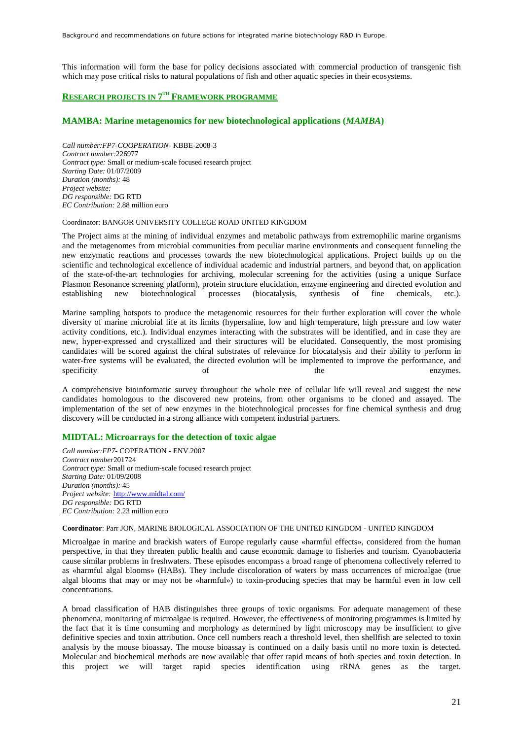This information will form the base for policy decisions associated with commercial production of transgenic fish which may pose critical risks to natural populations of fish and other aquatic species in their ecosystems.

#### **RESEARCH PROJECTS IN 7 TH FRAMEWORK PROGRAMME**

#### **MAMBA: Marine metagenomics for new biotechnological applications (***MAMBA***)**

*Call number:FP7-COOPERATION-* KBBE-2008-3 *Contract number:*226977 *Contract type:* Small or medium-scale focused research project *Starting Date:* 01/07/2009 *Duration (months):* 48 *Project website: DG responsible:* DG RTD *EC Contribution:* 2.88 million euro

#### Coordinator: BANGOR UNIVERSITY COLLEGE ROAD UNITED KINGDOM

The Project aims at the mining of individual enzymes and metabolic pathways from extremophilic marine organisms and the metagenomes from microbial communities from peculiar marine environments and consequent funneling the new enzymatic reactions and processes towards the new biotechnological applications. Project builds up on the scientific and technological excellence of individual academic and industrial partners, and beyond that, on application of the state-of-the-art technologies for archiving, molecular screening for the activities (using a unique Surface Plasmon Resonance screening platform), protein structure elucidation, enzyme engineering and directed evolution and establishing new biotechnological processes (biocatalysis, synthesis of fine chemicals, etc.). establishing new biotechnological processes (biocatalysis, synthesis of fine chemicals, etc.).

Marine sampling hotspots to produce the metagenomic resources for their further exploration will cover the whole diversity of marine microbial life at its limits (hypersaline, low and high temperature, high pressure and low water activity conditions, etc.). Individual enzymes interacting with the substrates will be identified, and in case they are new, hyper-expressed and crystallized and their structures will be elucidated. Consequently, the most promising candidates will be scored against the chiral substrates of relevance for biocatalysis and their ability to perform in water-free systems will be evaluated, the directed evolution will be implemented to improve the performance, and specificity of the enzymes.

A comprehensive bioinformatic survey throughout the whole tree of cellular life will reveal and suggest the new candidates homologous to the discovered new proteins, from other organisms to be cloned and assayed. The implementation of the set of new enzymes in the biotechnological processes for fine chemical synthesis and drug discovery will be conducted in a strong alliance with competent industrial partners.

#### **MIDTAL: Microarrays for the detection of toxic algae**

*Call number:FP7-* COPERATION - ENV.2007 *Contract number*201724 *Contract type:* Small or medium-scale focused research project *Starting Date:* 01/09/2008 *Duration (months):* 45 *Project website:* http://www.midtal.com/ *DG responsible:* DG RTD *EC Contribution:* 2.23 million euro

#### **Coordinator**: Parr JON, MARINE BIOLOGICAL ASSOCIATION OF THE UNITED KINGDOM - UNITED KINGDOM

Microalgae in marine and brackish waters of Europe regularly cause «harmful effects», considered from the human perspective, in that they threaten public health and cause economic damage to fisheries and tourism. Cyanobacteria cause similar problems in freshwaters. These episodes encompass a broad range of phenomena collectively referred to as «harmful algal blooms» (HABs). They include discoloration of waters by mass occurrences of microalgae (true algal blooms that may or may not be «harmful») to toxin-producing species that may be harmful even in low cell concentrations.

A broad classification of HAB distinguishes three groups of toxic organisms. For adequate management of these phenomena, monitoring of microalgae is required. However, the effectiveness of monitoring programmes is limited by the fact that it is time consuming and morphology as determined by light microscopy may be insufficient to give definitive species and toxin attribution. Once cell numbers reach a threshold level, then shellfish are selected to toxin analysis by the mouse bioassay. The mouse bioassay is continued on a daily basis until no more toxin is detected. Molecular and biochemical methods are now available that offer rapid means of both species and toxin detection. In this project we will target rapid species identification using rRNA genes as the target.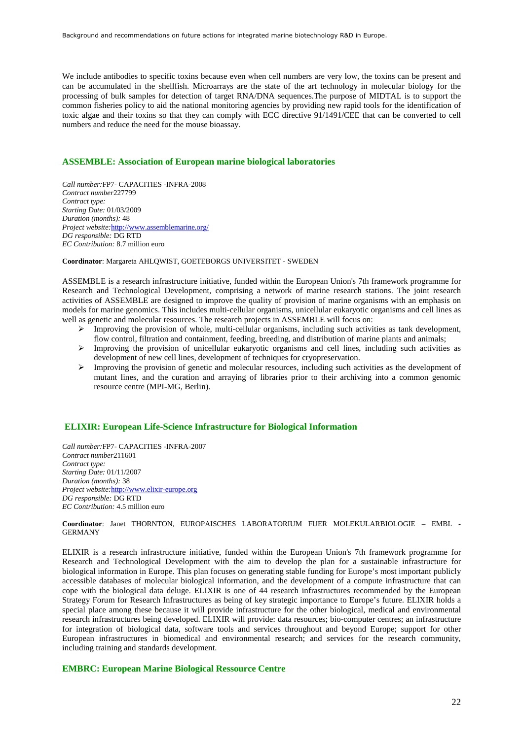We include antibodies to specific toxins because even when cell numbers are very low, the toxins can be present and can be accumulated in the shellfish. Microarrays are the state of the art technology in molecular biology for the processing of bulk samples for detection of target RNA/DNA sequences.The purpose of MIDTAL is to support the common fisheries policy to aid the national monitoring agencies by providing new rapid tools for the identification of toxic algae and their toxins so that they can comply with ECC directive 91/1491/CEE that can be converted to cell numbers and reduce the need for the mouse bioassay.

### **ASSEMBLE: Association of European marine biological laboratories**

*Call number:*FP7- CAPACITIES -INFRA-2008 *Contract number*227799 *Contract type: Starting Date:* 01/03/2009 *Duration (months):* 48 *Project website:*<http://www.assemblemarine.org/> *DG responsible:* DG RTD *EC Contribution:* 8.7 million euro

**Coordinator**: Margareta AHLQWIST, GOETEBORGS UNIVERSITET - SWEDEN

ASSEMBLE is a research infrastructure initiative, funded within the European Union's 7th framework programme for Research and Technological Development, comprising a network of marine research stations. The joint research activities of ASSEMBLE are designed to improve the quality of provision of marine organisms with an emphasis on models for marine genomics. This includes multi-cellular organisms, unicellular eukaryotic organisms and cell lines as well as genetic and molecular resources. The research projects in ASSEMBLE will focus on:

- $\triangleright$  Improving the provision of whole, multi-cellular organisms, including such activities as tank development, flow control, filtration and containment, feeding, breeding, and distribution of marine plants and animals;
- Improving the provision of unicellular eukaryotic organisms and cell lines, including such activities as development of new cell lines, development of techniques for cryopreservation.
- $\triangleright$  Improving the provision of genetic and molecular resources, including such activities as the development of mutant lines, and the curation and arraying of libraries prior to their archiving into a common genomic resource centre (MPI-MG, Berlin).

#### **ELIXIR: European Life-Science Infrastructure for Biological Information**

*Call number:*FP7- CAPACITIES -INFRA-2007 *Contract number*211601 *Contract type: Starting Date:* 01/11/2007 *Duration (months):* 38 *Project website:*http://ww[w.elixir-europe.org](http://www.elixir-europe.org/) *DG responsible:* DG RTD *EC Contribution:* 4.5 million euro

**Coordinator**: Janet THORNTON, EUROPAISCHES LABORATORIUM FUER MOLEKULARBIOLOGIE – EMBL - GERMANY

ELIXIR is a research infrastructure initiative, funded within the European Union's 7th framework programme for Research and Technological Development with the aim to develop the plan for a sustainable infrastructure for biological information in Europe. This plan focuses on generating stable funding for Europe's most important publicly accessible databases of molecular biological information, and the development of a compute infrastructure that can cope with the biological data deluge. ELIXIR is one of 44 research infrastructures recommended by the European Strategy Forum for Research Infrastructures as being of key strategic importance to Europe's future. ELIXIR holds a special place among these because it will provide infrastructure for the other biological, medical and environmental research infrastructures being developed. ELIXIR will provide: data resources; bio-computer centres; an infrastructure for integration of biological data, software tools and services throughout and beyond Europe; support for other European infrastructures in biomedical and environmental research; and services for the research community, including training and standards development.

#### **EMBRC: European Marine Biological Ressource Centre**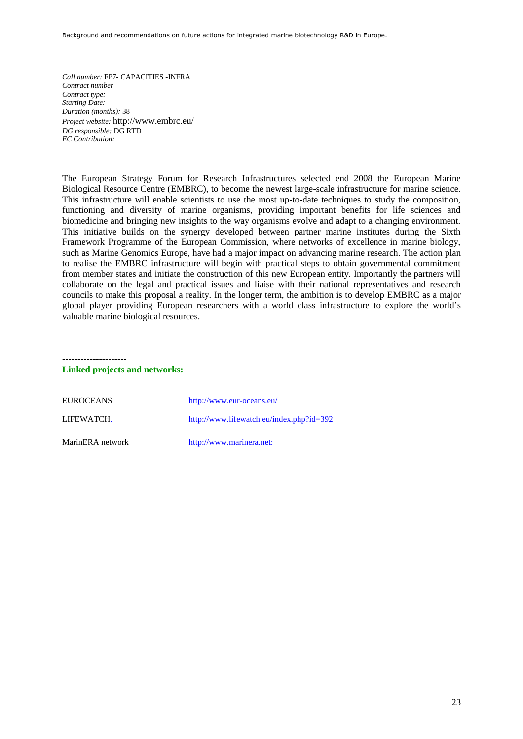*Call number:* FP7- CAPACITIES -INFRA *Contract number Contract type: Starting Date: Duration (months):* 38 *Project website:* http://www.embrc.eu/ *DG responsible:* DG RTD *EC Contribution:*

The European Strategy Forum for Research Infrastructures selected end 2008 the European Marine Biological Resource Centre (EMBRC), to become the newest large-scale infrastructure for marine science. This infrastructure will enable scientists to use the most up-to-date techniques to study the composition, functioning and diversity of marine organisms, providing important benefits for life sciences and biomedicine and bringing new insights to the way organisms evolve and adapt to a changing environment. This initiative builds on the synergy developed between partner marine institutes during the Sixth Framework Programme of the European Commission, where networks of excellence in marine biology, such as Marine Genomics Europe, have had a major impact on advancing marine research. The action plan to realise the EMBRC infrastructure will begin with practical steps to obtain governmental commitment from member states and initiate the construction of this new European entity. Importantly the partners will collaborate on the legal and practical issues and liaise with their national representatives and research councils to make this proposal a reality. In the longer term, the ambition is to develop EMBRC as a major global player providing European researchers with a world class infrastructure to explore the world's valuable marine biological resources.

---------------------

#### **Linked projects and networks:**

| <b>EUROCEANS</b> | http://www.eur-oceans.eu/                |
|------------------|------------------------------------------|
| LIFEWATCH.       | http://www.lifewatch.eu/index.php?id=392 |
| MarinERA network | http://www.marinera.net:                 |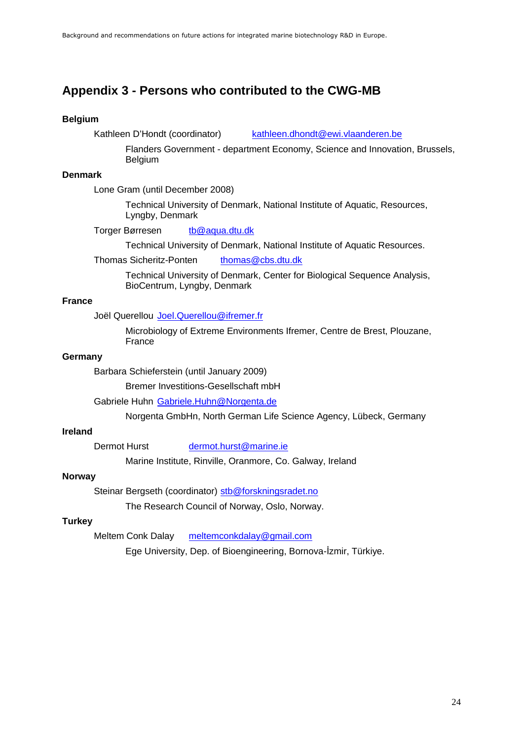## <span id="page-23-0"></span>**Appendix 3 - Persons who contributed to the CWG-MB**

### **Belgium**

Kathleen D'Hondt (coordinator) [kathleen.dhondt@ewi.vlaanderen.be](mailto:kathleen.dhondt@ewi.vlaanderen.be)

Flanders Government - department Economy, Science and Innovation, Brussels, Belgium

### **Denmark**

Lone Gram (until December 2008)

Technical University of Denmark, National Institute of Aquatic, Resources, Lyngby, Denmark

Torger Børresen [tb@aqua.dtu.dk](mailto:tb@aqua.dtu.dk)

Technical University of Denmark, National Institute of Aquatic Resources.

Thomas Sicheritz-Ponten [thomas@cbs.dtu.dk](mailto:thomas@cbs.dtu.dk)

Technical University of Denmark, Center for Biological Sequence Analysis, BioCentrum, Lyngby, Denmark

### **France**

Joël Querellou [Joel.Querellou@ifremer.fr](mailto:Joel.Querellou@ifremer.fr)

Microbiology of Extreme Environments Ifremer, Centre de Brest, Plouzane, France

### **Germany**

Barbara Schieferstein (until January 2009)

Bremer Investitions-Gesellschaft mbH

Gabriele Huhn [Gabriele.Huhn@Norgenta.de](mailto:Gabriele.Huhn@Norgenta.de)

Norgenta GmbHn, North German Life Science Agency, Lübeck, Germany

### **Ireland**

Dermot Hurst [dermot.hurst@marine.ie](mailto:dermot.hurst@marine.ie)

Marine Institute, Rinville, Oranmore, Co. Galway, Ireland

### **Norway**

Steinar Bergseth (coordinator) [stb@forskningsradet.no](mailto:stb@forskningsradet.no)

The Research Council of Norway, Oslo, Norway.

### **Turkey**

Meltem Conk Dalay [meltemconkdalay@gmail.com](mailto:meltemconkdalay@gmail.com)

Ege University, Dep. of Bioengineering, Bornova-İzmir, Türkiye.